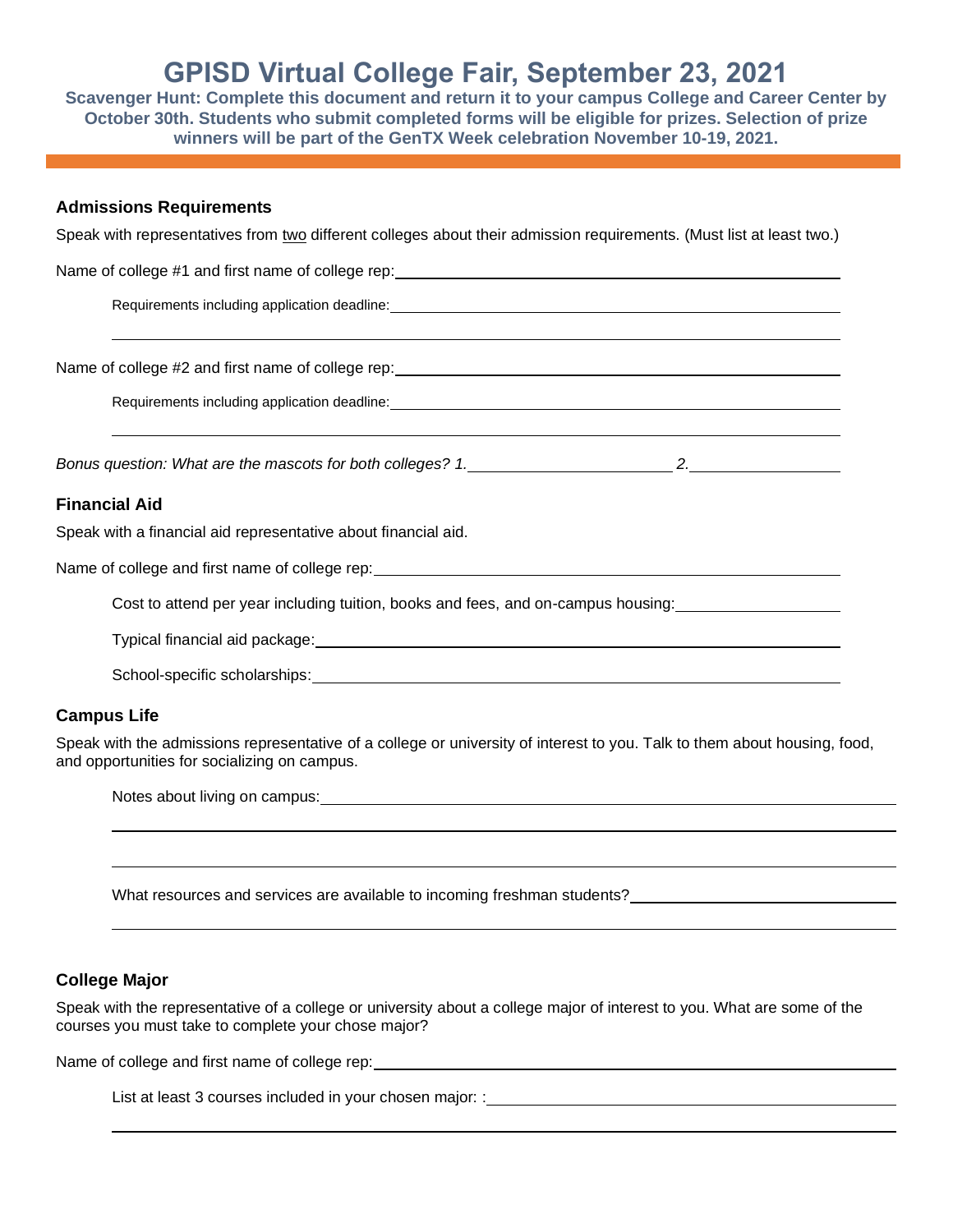# **GPISD Virtual College Fair, September 23, 2021**

**Scavenger Hunt: Complete this document and return it to your campus College and Career Center by October 30th. Students who submit completed forms will be eligible for prizes. Selection of prize winners will be part of the GenTX Week celebration November 10-19, 2021.** 

#### **Admissions Requirements**

Speak with representatives from two different colleges about their admission requirements. (Must list at least two.)

| Requirements including application deadline:<br><u>examples</u> and the contract of the contract of the contract of the contract of the contract of the contract of the contract of the contract of the contract of the contract of t |
|---------------------------------------------------------------------------------------------------------------------------------------------------------------------------------------------------------------------------------------|
|                                                                                                                                                                                                                                       |
|                                                                                                                                                                                                                                       |
| <b>Financial Aid</b>                                                                                                                                                                                                                  |
| Speak with a financial aid representative about financial aid.                                                                                                                                                                        |
| Name of college and first name of college rep: Name of the state of the state of the state of the state of the                                                                                                                        |
| Cost to attend per year including tuition, books and fees, and on-campus housing:                                                                                                                                                     |
|                                                                                                                                                                                                                                       |
|                                                                                                                                                                                                                                       |
|                                                                                                                                                                                                                                       |

#### **Campus Life**

Speak with the admissions representative of a college or university of interest to you. Talk to them about housing, food, and opportunities for socializing on campus.

| Notes about living on campus: |  |  |
|-------------------------------|--|--|
|                               |  |  |
|                               |  |  |
|                               |  |  |

What resources and services are available to incoming freshman students?<br>

### **College Major**

Speak with the representative of a college or university about a college major of interest to you. What are some of the courses you must take to complete your chose major?

Name of college and first name of college rep:

List at least 3 courses included in your chosen major: :\_\_\_\_\_\_\_\_\_\_\_\_